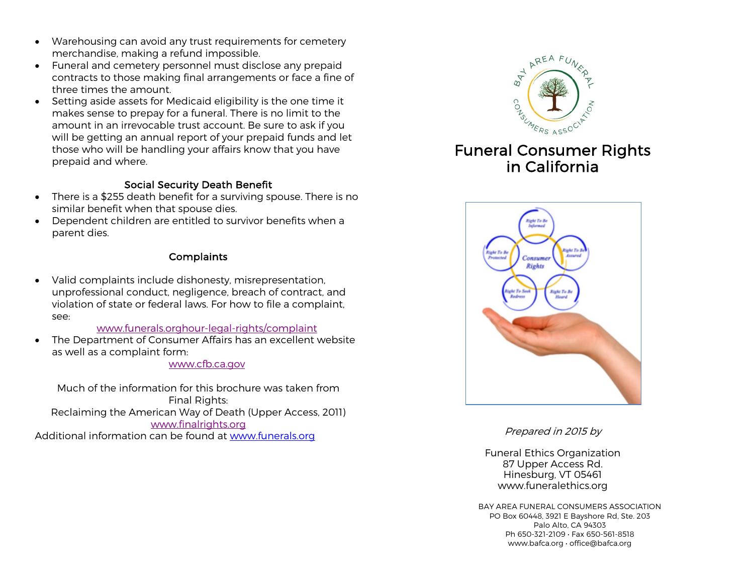- Warehousing can avoid any trust requirements for cemetery merchandise, making a refund impossible.
- Funeral and cemetery personnel must disclose any prepaid contracts to those making final arrangements or face a fine of three times the amount.
- Setting aside assets for Medicaid eligibility is the one time it makes sense to prepay for a funeral. There is no limit to the amount in an irrevocable trust account. Be sure to ask if you will be getting an annual report of your prepaid funds and let those who will be handling your affairs know that you have prepaid and where.

#### Social Security Death Benefit

- There is a \$255 death benefit for a surviving spouse. There is no similar benefit when that spouse dies.
- Dependent children are entitled to survivor benefits when a parent dies.

### **Complaints**

• Valid complaints include dishonesty, misrepresentation, unprofessional conduct, negligence, breach of contract, and violation of state or federal laws. For how to file a complaint, see:

#### www.funerals.orghour-legal-rights/complaint

• The Department of Consumer Affairs has an excellent website as well as a complaint form:

#### www.cfb.ca.gov

Much of the information for this brochure was taken from Final Rights: Reclaiming the American Way of Death (Upper Access, 2011) www.finalrights.org Additional information can be found at www.funerals.org



# in California



Prepared in 2015 by

Funeral Ethics Organization 87 Upper Access Rd. Hinesburg, VT 05461 www.funeralethics.org

BAY AREA FUNERAL CONSUMERS ASSOCIATION PO Box 60448, 3921 E Bayshore Rd, Ste. 203 Palo Alto, CA 94303 Ph 650-321-2109 • Fax 650-561-8518 www.bafca.org • office@bafca.org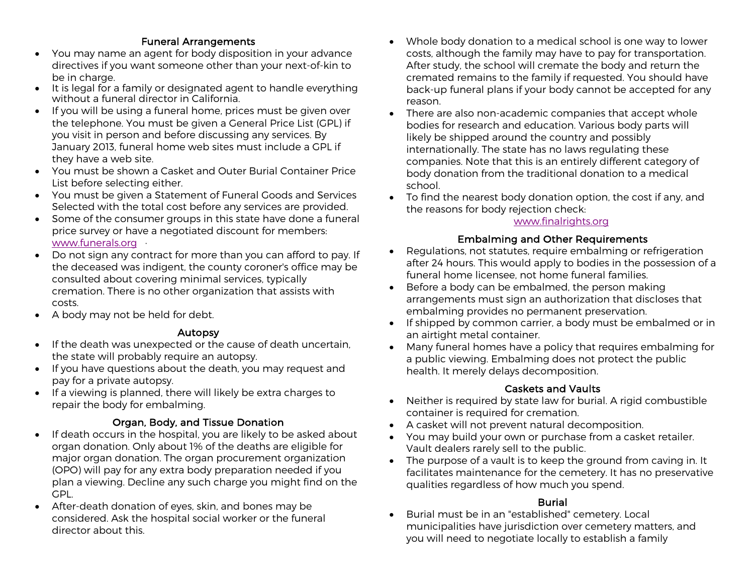## Funeral Arrangements

- You may name an agent for body disposition in your advance directives if you want someone other than your next-of-kin to be in charge.
- It is legal for a family or designated agent to handle everything without a funeral director in California.
- If you will be using a funeral home, prices must be given over the telephone. You must be given a General Price List (GPL) if you visit in person and before discussing any services. By January 2013, funeral home web sites must include a GPL if they have a web site.
- You must be shown a Casket and Outer Burial Container Price List before selecting either.
- You must be given a Statement of Funeral Goods and Services Selected with the total cost before any services are provided.
- Some of the consumer groups in this state have done a funeral price survey or have a negotiated discount for members: www.funerals.org ·
- Do not sign any contract for more than you can afford to pay. If the deceased was indigent, the county coroner's office may be consulted about covering minimal services, typically cremation. There is no other organization that assists with costs.
- A body may not be held for debt.

## Autopsy

- If the death was unexpected or the cause of death uncertain, the state will probably require an autopsy.
- If you have questions about the death, you may request and pay for a private autopsy.
- If a viewing is planned, there will likely be extra charges to repair the body for embalming.

# Organ, Body, and Tissue Donation

- If death occurs in the hospital, you are likely to be asked about organ donation. Only about 1% of the deaths are eligible for major organ donation. The organ procurement organization (OPO) will pay for any extra body preparation needed if you plan a viewing. Decline any such charge you might find on the GPL.
- After-death donation of eyes, skin, and bones may be considered. Ask the hospital social worker or the funeral director about this.
- Whole body donation to a medical school is one way to lower costs, although the family may have to pay for transportation. After study, the school will cremate the body and return the cremated remains to the family if requested. You should have back-up funeral plans if your body cannot be accepted for any reason.
- There are also non-academic companies that accept whole bodies for research and education. Various body parts will likely be shipped around the country and possibly internationally. The state has no laws regulating these companies. Note that this is an entirely different category of body donation from the traditional donation to a medical school.
- To find the nearest body donation option, the cost if any, and the reasons for body rejection check:

#### www.finalrights.org

## Embalming and Other Requirements

- Regulations, not statutes, require embalming or refrigeration after 24 hours. This would apply to bodies in the possession of a funeral home licensee, not home funeral families.
- Before a body can be embalmed, the person making arrangements must sign an authorization that discloses that embalming provides no permanent preservation.
- If shipped by common carrier, a body must be embalmed or in an airtight metal container.
- Many funeral homes have a policy that requires embalming for a public viewing. Embalming does not protect the public health. It merely delays decomposition.

## Caskets and Vaults

- Neither is required by state law for burial. A rigid combustible container is required for cremation.
- A casket will not prevent natural decomposition.
- You may build your own or purchase from a casket retailer. Vault dealers rarely sell to the public.
- The purpose of a vault is to keep the ground from caving in. It facilitates maintenance for the cemetery. It has no preservative qualities regardless of how much you spend.

## Burial

• Burial must be in an "established" cemetery. Local municipalities have jurisdiction over cemetery matters, and you will need to negotiate locally to establish a family